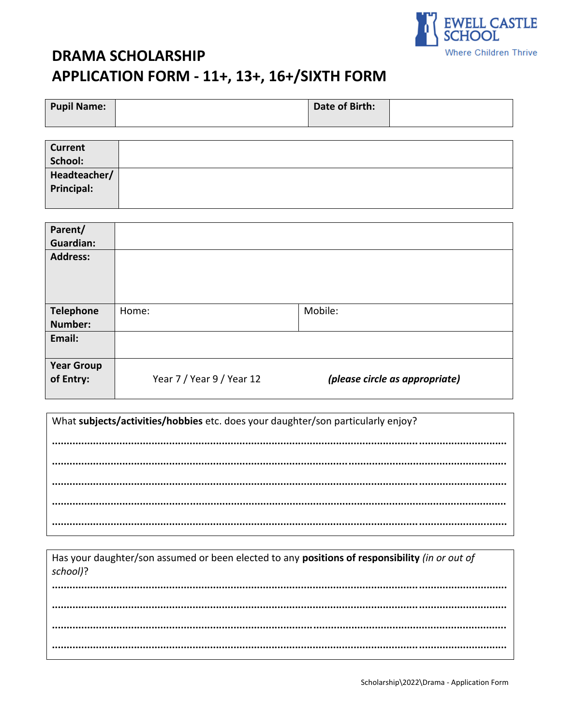

# **DRAMA SCHOLARSHIP** APPLICATION FORM - 11+, 13+, 16+/SIXTH FORM

| <b>Pupil Name:</b> | Date of Birth: |  |
|--------------------|----------------|--|
|                    |                |  |

| <b>Current</b>    |  |
|-------------------|--|
| School:           |  |
| Headteacher/      |  |
| <b>Principal:</b> |  |
|                   |  |

| Parent/<br><b>Guardian:</b><br><b>Address:</b> |                           |                                |
|------------------------------------------------|---------------------------|--------------------------------|
| <b>Telephone</b><br>Number:                    | Home:                     | Mobile:                        |
| Email:                                         |                           |                                |
| <b>Year Group</b><br>of Entry:                 | Year 7 / Year 9 / Year 12 | (please circle as appropriate) |

What subjects/activities/hobbies etc. does your daughter/son particularly enjoy? 

Has your daughter/son assumed or been elected to any positions of responsibility (in or out of school)?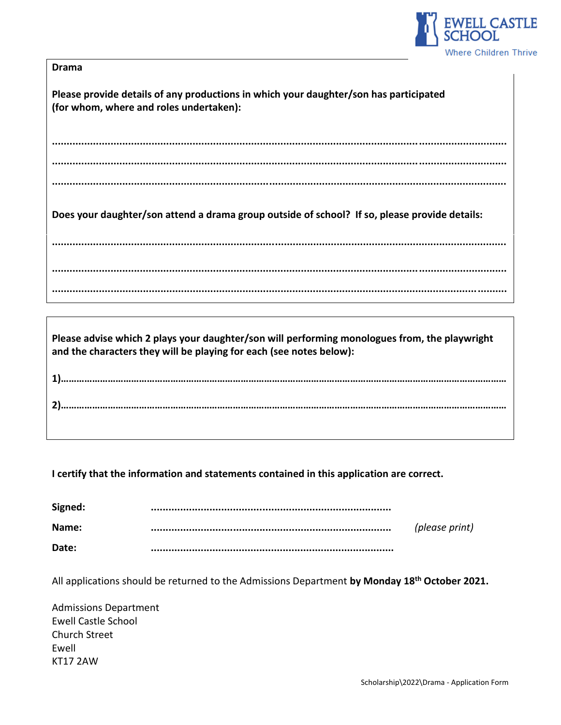

| ٠m<br>ш<br>œ |
|--------------|
|--------------|

**Please provide details of any productions in which your daughter/son has participated (for whom, where and roles undertaken):**

**........................................................................................................................................................... ........................................................................................................................................................... ...........................................................................................................................................................**

**Does your daughter/son attend a drama group outside of school? If so, please provide details:** 

**........................................................................................................................................................... ........................................................................................................................................................... ...........................................................................................................................................................**

**Please advise which 2 plays your daughter/son will performing monologues from, the playwright and the characters they will be playing for each (see notes below):**

**1)……………………………………………………………………………………………………………………………………………………… 2)………………………………………………………………………………………………………………………………………………………**

**I certify that the information and statements contained in this application are correct.**

| Signed: |                |
|---------|----------------|
| Name:   | (please print) |
| Date:   |                |

All applications should be returned to the Admissions Department **by Monday 18 th October 2021.**

Admissions Department Ewell Castle School Church Street Ewell KT17 2AW